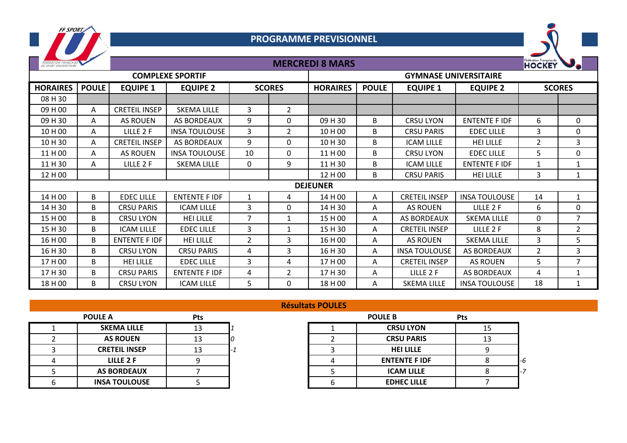

## **PROGRAMME PREVISIONNEL**

**MERCREDI 8 MARS**



| DU SPORT UNIVERSITAIRE  |                 |                      |                      | IVIENLNEDI O IVIANJ |                |                              |              |                      |                      |                | <b>HOCKEY</b>  |  |
|-------------------------|-----------------|----------------------|----------------------|---------------------|----------------|------------------------------|--------------|----------------------|----------------------|----------------|----------------|--|
| <b>COMPLEXE SPORTIF</b> |                 |                      |                      |                     |                | <b>GYMNASE UNIVERSITAIRE</b> |              |                      |                      |                |                |  |
| <b>HORAIRES</b>         | <b>POULE</b>    | <b>EQUIPE 1</b>      | <b>EQUIPE 2</b>      |                     | <b>SCORES</b>  | <b>HORAIRES</b>              | <b>POULE</b> | <b>EQUIPE 1</b>      | <b>EQUIPE 2</b>      |                | <b>SCORES</b>  |  |
| 08 H 30                 |                 |                      |                      |                     |                |                              |              |                      |                      |                |                |  |
| 09 H 00                 | A               | <b>CRETEIL INSEP</b> | <b>SKEMA LILLE</b>   | 3                   | $\overline{2}$ |                              |              |                      |                      |                |                |  |
| 09 H 30                 | A               | <b>AS ROUEN</b>      | <b>AS BORDEAUX</b>   | 9                   | 0              | 09 H 30                      | B            | <b>CRSU LYON</b>     | <b>ENTENTE F IDF</b> | 6              | 0              |  |
| 10 H 00                 | Α               | LILLE 2 F            | <b>INSA TOULOUSE</b> | 3                   | $\overline{2}$ | 10 H 00                      | B            | <b>CRSU PARIS</b>    | <b>EDEC LILLE</b>    | 3              | $\pmb{0}$      |  |
| 10H30                   | Α               | <b>CRETEIL INSEP</b> | <b>AS BORDEAUX</b>   | 9                   | $\Omega$       | 10H 30                       | B            | <b>ICAM LILLE</b>    | <b>HEI LILLE</b>     | $\overline{2}$ | 3              |  |
| 11 H 00                 | A               | <b>AS ROUEN</b>      | <b>INSA TOULOUSE</b> | 10                  | 0              | 11 H 00                      | B            | <b>CRSU LYON</b>     | <b>EDEC LILLE</b>    | 5              | $\mathbf 0$    |  |
| 11 H 30                 | A               | LILLE 2 F            | <b>SKEMA LILLE</b>   | $\mathbf 0$         | 9              | 11 H 30                      | B            | <b>ICAM LILLE</b>    | <b>ENTENTE F IDF</b> |                | 1              |  |
| 12 H 00                 |                 |                      |                      |                     |                | 12 H 00                      | B            | <b>CRSU PARIS</b>    | <b>HEI LILLE</b>     | 3              | 1              |  |
|                         | <b>DEJEUNER</b> |                      |                      |                     |                |                              |              |                      |                      |                |                |  |
| 14 H 00                 | B               | <b>EDEC LILLE</b>    | <b>ENTENTE F IDF</b> | 1                   | 4              | 14 H 00                      | Α            | <b>CRETEIL INSEP</b> | <b>INSA TOULOUSE</b> | 14             | $\mathbf{1}$   |  |
| 14 H 30                 | B               | <b>CRSU PARIS</b>    | <b>ICAM LILLE</b>    | 3                   | 0              | 14 H 30                      | A            | <b>AS ROUEN</b>      | LILLE 2 F            | 6              | 0              |  |
| 15 H 00                 | B               | <b>CRSU LYON</b>     | <b>HEI LILLE</b>     | 7                   | 1              | 15 H 00                      | A            | <b>AS BORDEAUX</b>   | <b>SKEMA LILLE</b>   | 0              | $\overline{7}$ |  |
| 15 H 30                 | B               | <b>ICAM LILLE</b>    | <b>EDEC LILLE</b>    | $\mathbf{3}$        |                | 15 H 30                      | A            | <b>CRETEIL INSEP</b> | LILLE 2 F            | 8              | $\overline{2}$ |  |
| 16 H 00                 | B               | <b>ENTENTE FIDE</b>  | <b>HEI LILLE</b>     | $\overline{2}$      | 3              | 16 H 00                      | A            | <b>AS ROUEN</b>      | <b>SKEMA LILLE</b>   | $\mathbf{3}$   | 5              |  |
| 16 H 30                 | B               | <b>CRSU LYON</b>     | <b>CRSU PARIS</b>    | 4                   | 3              | 16 H 30                      | Α            | <b>INSA TOULOUSE</b> | AS BORDEAUX          | $\overline{2}$ | 3              |  |
| 17 H 00                 | B               | <b>HEI LILLE</b>     | <b>EDEC LILLE</b>    | 3                   | 4              | 17H00                        | A            | <b>CRETEIL INSEP</b> | <b>AS ROUEN</b>      | 5.             | $\overline{7}$ |  |
| 17 H 30                 | B               | <b>CRSU PARIS</b>    | <b>ENTENTE F IDF</b> | 4                   | $\overline{2}$ | 17H 30                       | A            | LILLE 2 F            | AS BORDEAUX          | 4              |                |  |
| 18 H 00                 | B               | <b>CRSU LYON</b>     | <b>ICAM LILLE</b>    | 5                   | $\mathbf{0}$   | 18 H 00                      | Α            | <b>SKEMA LILLE</b>   | <b>INSA TOULOUSE</b> | 18             |                |  |

|                      |            | ncountairs rocker |                      |            |
|----------------------|------------|-------------------|----------------------|------------|
| <b>POULE A</b>       | <b>Pts</b> |                   | <b>POULE B</b>       | <b>Pts</b> |
| <b>SKEMA LILLE</b>   | 13         |                   | <b>CRSU LYON</b>     | 1!         |
| <b>AS ROUEN</b>      | 13         |                   | <b>CRSU PARIS</b>    | 1:         |
| <b>CRETEIL INSEP</b> | 13         |                   | <b>HEI LILLE</b>     |            |
| LILLE 2 F            |            |                   | <b>ENTENTE F IDF</b> |            |
| <b>AS BORDEAUX</b>   |            |                   | <b>ICAM LILLE</b>    |            |
| <b>INSA TOULOUSE</b> |            |                   | <b>EDHEC LILLE</b>   |            |

## **Résultats POULES**

| <b>POULE A</b>       | Pts |  | <b>POULE B</b>       | Pts |    |
|----------------------|-----|--|----------------------|-----|----|
| <b>SKEMA LILLE</b>   | 13  |  | <b>CRSU LYON</b>     |     |    |
| <b>AS ROUEN</b>      |     |  | <b>CRSU PARIS</b>    |     |    |
| <b>CRETEIL INSEP</b> |     |  | <b>HEI LILLE</b>     |     |    |
| LILLE 2 F            |     |  | <b>ENTENTE F IDF</b> |     | -6 |
| <b>AS BORDEAUX</b>   |     |  | <b>ICAM LILLE</b>    |     |    |
| <b>INSA TOULOUSE</b> |     |  | <b>EDHEC LILLE</b>   |     |    |